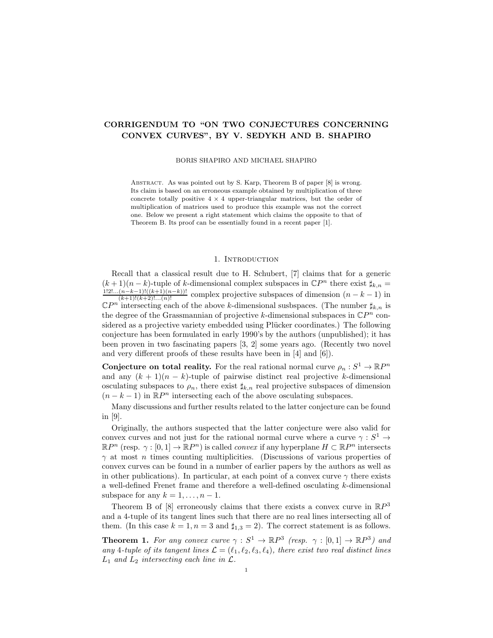## CORRIGENDUM TO "ON TWO CONJECTURES CONCERNING CONVEX CURVES", BY V. SEDYKH AND B. SHAPIRO

BORIS SHAPIRO AND MICHAEL SHAPIRO

Abstract. As was pointed out by S. Karp, Theorem B of paper [8] is wrong. Its claim is based on an erroneous example obtained by multiplication of three concrete totally positive  $4 \times 4$  upper-triangular matrices, but the order of multiplication of matrices used to produce this example was not the correct one. Below we present a right statement which claims the opposite to that of Theorem B. Its proof can be essentially found in a recent paper [1].

#### 1. Introduction

Recall that a classical result due to H. Schubert, [7] claims that for a generic  $(k+1)(n-k)$ -tuple of k-dimensional complex subspaces in  $\mathbb{C}P^n$  there exist  $\sharp_{k,n} =$  $\frac{1!2!...(n-k-1)!(k+1)(n-k)!}{(k+1)!(k+2)!(n)!}$  complex projective subspaces of dimension  $(n-k-1)$  in  $\mathbb{C}P^n$  intersecting each of the above k-dimensional susbspaces. (The number  $\sharp_{k,n}$  is the degree of the Grassmannian of projective k-dimensional subspaces in  $\mathbb{C}P^n$  considered as a projective variety embedded using Plücker coordinates.) The following conjecture has been formulated in early 1990's by the authors (unpublished); it has been proven in two fascinating papers [3, 2] some years ago. (Recently two novel and very different proofs of these results have been in [4] and [6]).

**Conjecture on total reality.** For the real rational normal curve  $\rho_n : S^1 \to \mathbb{R}P^n$ and any  $(k + 1)(n - k)$ -tuple of pairwise distinct real projective k-dimensional osculating subspaces to  $\rho_n$ , there exist  $\sharp_{k,n}$  real projective subspaces of dimension  $(n - k - 1)$  in  $\mathbb{R}P^n$  intersecting each of the above osculating subspaces.

Many discussions and further results related to the latter conjecture can be found in [9].

Originally, the authors suspected that the latter conjecture were also valid for convex curves and not just for the rational normal curve where a curve  $\gamma : S^1 \to$  $\mathbb{R}P^n$  (resp.  $\gamma : [0,1] \to \mathbb{R}P^n$ ) is called *convex* if any hyperplane  $H \subset \mathbb{R}P^n$  intersects  $\gamma$  at most n times counting multiplicities. (Discussions of various properties of convex curves can be found in a number of earlier papers by the authors as well as in other publications). In particular, at each point of a convex curve  $\gamma$  there exists a well-defined Frenet frame and therefore a well-defined osculating k-dimensional subspace for any  $k = 1, \ldots, n - 1$ .

Theorem B of  $[8]$  erroneously claims that there exists a convex curve in  $\mathbb{R}P^3$ and a 4-tuple of its tangent lines such that there are no real lines intersecting all of them. (In this case  $k = 1, n = 3$  and  $\sharp_{1,3} = 2$ ). The correct statement is as follows.

**Theorem 1.** For any convex curve  $\gamma : S^1 \to \mathbb{R}P^3$  (resp.  $\gamma : [0,1] \to \mathbb{R}P^3$ ) and any 4-tuple of its tangent lines  $\mathcal{L} = (\ell_1, \ell_2, \ell_3, \ell_4)$ , there exist two real distinct lines  $L_1$  and  $L_2$  intersecting each line in  $\mathcal{L}$ .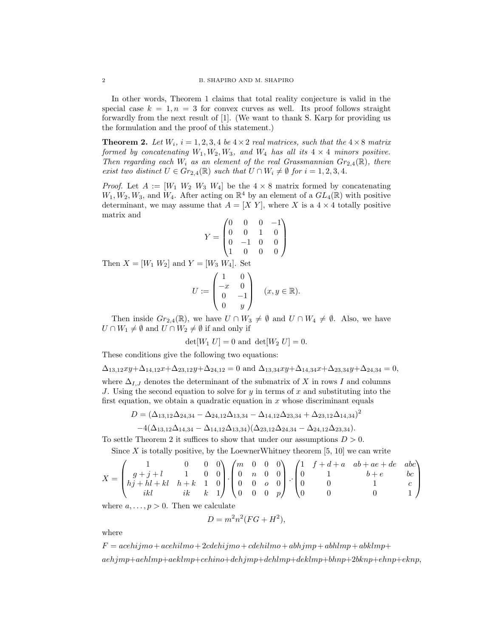In other words, Theorem 1 claims that total reality conjecture is valid in the special case  $k = 1, n = 3$  for convex curves as well. Its proof follows straight forwardly from the next result of [1]. (We want to thank S. Karp for providing us the formulation and the proof of this statement.)

**Theorem 2.** Let  $W_i$ ,  $i = 1, 2, 3, 4$  be  $4 \times 2$  real matrices, such that the  $4 \times 8$  matrix formed by concatenating  $W_1, W_2, W_3$ , and  $W_4$  has all its  $4 \times 4$  minors positive. Then regarding each  $W_i$  as an element of the real Grassmannian  $Gr_{2,4}(\mathbb{R})$ , there exist two distinct  $U \in Gr_{2,4}(\mathbb{R})$  such that  $U \cap W_i \neq \emptyset$  for  $i = 1, 2, 3, 4$ .

*Proof.* Let  $A := [W_1 \ W_2 \ W_3 \ W_4]$  be the  $4 \times 8$  matrix formed by concatenating  $W_1, W_2, W_3$ , and  $W_4$ . After acting on  $\mathbb{R}^4$  by an element of a  $GL_4(\mathbb{R})$  with positive determinant, we may assume that  $A = [XY]$ , where X is a  $4 \times 4$  totally positive matrix and

$$
Y = \begin{pmatrix} 0 & 0 & 0 & -1 \\ 0 & 0 & 1 & 0 \\ 0 & -1 & 0 & 0 \\ 1 & 0 & 0 & 0 \end{pmatrix}
$$

Then  $X = [W_1 \ W_2]$  and  $Y = [W_3 \ W_4]$ . Set

$$
U := \begin{pmatrix} 1 & 0 \\ -x & 0 \\ 0 & -1 \\ 0 & y \end{pmatrix} \quad (x, y \in \mathbb{R}).
$$

Then inside  $Gr_{2,4}(\mathbb{R})$ , we have  $U \cap W_3 \neq \emptyset$  and  $U \cap W_4 \neq \emptyset$ . Also, we have  $U \cap W_1 \neq \emptyset$  and  $U \cap W_2 \neq \emptyset$  if and only if

$$
det[W_1 U] = 0
$$
 and  $det[W_2 U] = 0$ .

These conditions give the following two equations:

$$
\Delta_{13,12}xy + \Delta_{14,12}x + \Delta_{23,12}y + \Delta_{24,12} = 0
$$
 and  $\Delta_{13,34}xy + \Delta_{14,34}x + \Delta_{23,34}y + \Delta_{24,34} = 0$ , where  $\Delta_{I,J}$  denotes the determinant of the submatrix of X in rows I and columns J. Using the second equation to solve for y in terms of x and substituting into the first equation, we obtain a quadratic equation in x whose discriminant equals

$$
D = (\Delta_{13,12}\Delta_{24,34} - \Delta_{24,12}\Delta_{13,34} - \Delta_{14,12}\Delta_{23,34} + \Delta_{23,12}\Delta_{14,34})^2
$$
  
-4( $\Delta_{13,12}\Delta_{14,34} - \Delta_{14,12}\Delta_{13,34})(\Delta_{23,12}\Delta_{24,34} - \Delta_{24,12}\Delta_{23,34}).$ 

To settle Theorem 2 it suffices to show that under our assumptions  $D > 0$ .

Since  $X$  is totally positive, by the LoewnerWhitney theorem [5, 10] we can write

$$
X = \begin{pmatrix} 1 & 0 & 0 & 0 \\ g+j+l & 1 & 0 & 0 \\ hj+hl+kl & h+k & 1 & 0 \\ ikl & ik & k & 1 \end{pmatrix} \cdot \begin{pmatrix} m & 0 & 0 & 0 \\ 0 & n & 0 & 0 \\ 0 & 0 & o & 0 \\ 0 & 0 & 0 & p \end{pmatrix} \cdot \begin{pmatrix} 1 & f+d+a & ab+ae+de & abc \\ 0 & 1 & b+e & bc \\ 0 & 0 & 1 & c \\ 0 & 0 & 0 & 1 \end{pmatrix}
$$

where  $a, \ldots, p > 0$ . Then we calculate

$$
D = m^2 n^2 (FG + H^2),
$$

where

 $F = acehijmo + acehilmo + 2cdehijmo + cdehilmo + abhjmp + abhlmp + abklmp+$ aehjmp+aehlmp+aeklmp+cehino+dehjmp+dehlmp+deklmp+bhnp+2bknp+ehnp+eknp,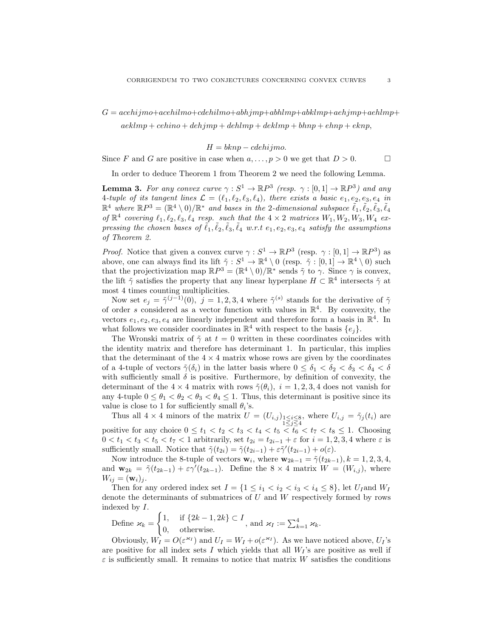# $G = acehijmo+acehilmo+cdehilmo+abhjmp+abhlmp+abklmp+achjmp+achlmp+$  $aeklmp + cehino + dehimp + dehlmp + deklmp + bhnp + ehnp + eknp,$

$$
H = bknp - cdehijmo.
$$

Since F and G are positive in case when  $a, \ldots, p > 0$  we get that  $D > 0$ .

In order to deduce Theorem 1 from Theorem 2 we need the following Lemma.

**Lemma 3.** For any convex curve  $\gamma : S^1 \to \mathbb{R}P^3$  (resp.  $\gamma : [0,1] \to \mathbb{R}P^3$ ) and any 4-tuple of its tangent lines  $\mathcal{L} = (\ell_1, \ell_2, \ell_3, \ell_4)$ , there exists a basic  $e_1, e_2, e_3, e_4$  in  $\mathbb{R}^4$  where  $\mathbb{R}P^3 = (\mathbb{R}^4 \setminus 0)/\mathbb{R}^*$  and bases in the 2-dimensional subspace  $\tilde{\ell}_1, \tilde{\ell}_2, \tilde{\ell}_3, \tilde{\ell}_4$ of  $\mathbb{R}^4$  covering  $\ell_1, \ell_2, \ell_3, \ell_4$  resp. such that the  $4 \times 2$  matrices  $W_1, W_2, W_3, W_4$  expressing the chosen bases of  $\tilde{\ell}_1, \tilde{\ell}_2, \tilde{\ell}_3, \tilde{\ell}_4$  w.r.t  $e_1, e_2, e_3, e_4$  satisfy the assumptions of Theorem 2.

*Proof.* Notice that given a convex curve  $\gamma : S^1 \to \mathbb{R}P^3$  (resp.  $\gamma : [0,1] \to \mathbb{R}P^3$ ) as above, one can always find its lift  $\tilde{\gamma}: S^1 \to \mathbb{R}^4 \setminus 0$  (resp.  $\tilde{\gamma}: [0,1] \to \mathbb{R}^4 \setminus 0$ ) such that the projectivization map  $\mathbb{R}P^3 = (\mathbb{R}^4 \setminus 0)/\mathbb{R}^*$  sends  $\tilde{\gamma}$  to  $\gamma$ . Since  $\gamma$  is convex, the lift  $\tilde{\gamma}$  satisfies the property that any linear hyperplane  $H \subset \mathbb{R}^4$  intersects  $\tilde{\gamma}$  at most 4 times counting multiplicities.

Now set  $e_j = \tilde{\gamma}^{(j-1)}(0)$ ,  $j = 1, 2, 3, 4$  where  $\tilde{\gamma}^{(s)}$  stands for the derivative of  $\tilde{\gamma}$ of order s considered as a vector function with values in  $\mathbb{R}^4$ . By convexity, the vectors  $e_1, e_2, e_3, e_4$  are linearly independent and therefore form a basis in  $\mathbb{R}^4$ . In what follows we consider coordinates in  $\mathbb{R}^4$  with respect to the basis  $\{e_j\}$ .

The Wronski matrix of  $\tilde{\gamma}$  at  $t = 0$  written in these coordinates coincides with the identity matrix and therefore has determinant 1. In particular, this implies that the determinant of the  $4 \times 4$  matrix whose rows are given by the coordinates of a 4-tuple of vectors  $\tilde{\gamma}(\delta_i)$  in the latter basis where  $0 \leq \delta_1 < \delta_2 < \delta_3 < \delta_4 < \delta$ with sufficiently small  $\delta$  is positive. Furthermore, by definition of convexity, the determinant of the  $4 \times 4$  matrix with rows  $\tilde{\gamma}(\theta_i)$ ,  $i = 1, 2, 3, 4$  does not vanish for any 4-tuple  $0 \le \theta_1 < \theta_2 < \theta_3 < \theta_4 \le 1$ . Thus, this determinant is positive since its value is close to 1 for sufficiently small  $\theta_i$ 's.

Thus all  $4 \times 4$  minors of the matrix  $U = (U_{i,j})_{1 \leq i \leq 8}$ , where  $U_{i,j} = \tilde{\gamma}_j(t_i)$  are positive for any choice  $0 \leq t_1 < t_2 < t_3 < t_4 < t_5 < t_6 < t_7 < t_8 \leq 1$ . Choosing  $0 < t_1 < t_3 < t_5 < t_7 < 1$  arbitrarily, set  $t_{2i} = t_{2i-1} + \varepsilon$  for  $i = 1, 2, 3, 4$  where  $\varepsilon$  is sufficiently small. Notice that  $\tilde{\gamma}(t_{2i}) = \tilde{\gamma}(t_{2i-1}) + \varepsilon \tilde{\gamma}'(t_{2i-1}) + o(\varepsilon)$ .

Now introduce the 8-tuple of vectors  $\mathbf{w}_i$ , where  $\mathbf{w}_{2k-1} = \tilde{\gamma}(t_{2k-1}), k = 1, 2, 3, 4$ , and  $\mathbf{w}_{2k} = \tilde{\gamma}(t_{2k-1}) + \varepsilon \gamma'(t_{2k-1})$ . Define the 8 × 4 matrix  $W = (W_{i,j})$ , where  $W_{ij} = (\mathbf{w}_i)_j$ .

Then for any ordered index set  $I = \{1 \leq i_1 < i_2 < i_3 < i_4 \leq 8\}$ , let  $U_I$  and  $W_I$ denote the determinants of submatrices of U and W respectively formed by rows indexed by I.

Define  $\varkappa_k = \begin{cases} 1, & \text{if } \{2k-1, 2k\} \subset I \\ 0, & \text{otherwise} \end{cases}$ 1, if  $\{2k-1, 2k\} \subset I$ , and  $\varkappa_I := \sum_{k=1}^4 \varkappa_k$ .<br>0, otherwise.

Obviously,  $W_I = O(\varepsilon^{i} \omega_I)$  and  $U_I = W_I + o(\varepsilon^{i} \omega_I)$ . As we have noticed above,  $U_I$ 's are positive for all index sets I which yields that all  $W_I$ 's are positive as well if  $\varepsilon$  is sufficiently small. It remains to notice that matrix W satisfies the conditions